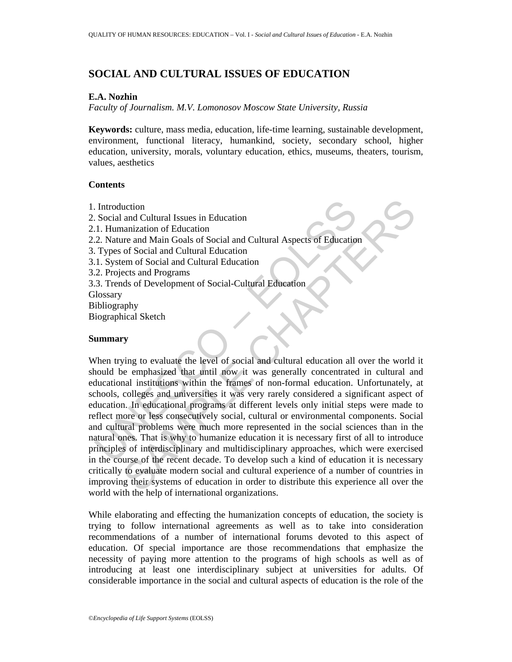# **SOCIAL AND CULTURAL ISSUES OF EDUCATION**

### **E.A. Nozhin**

*Faculty of Journalism. M.V. Lomonosov Moscow State University, Russia* 

**Keywords:** culture, mass media, education, life-time learning, sustainable development, environment, functional literacy, humankind, society, secondary school, higher education, university, morals, voluntary education, ethics, museums, theaters, tourism, values, aesthetics

### **Contents**

1. Introduction

Introduction<br>
Social and Cultural Issues in Education<br>
1. Humanization of Education<br>
1. Types of Social and Cultural Education<br>
1. Types of Social and Cultural Education<br>
1. Types of Social and Cultural Education<br>
1. Syste 2. Social and Cultural Issues in Education 2.1. Humanization of Education 2.2*.* Nature and Main Goals of Social and Cultural Aspects of Education 3. Types of Social and Cultural Education 3.1. System of Social and Cultural Education 3.2. Projects and Programs 3.3. Trends of Development of Social-Cultural Education **Glossary** Bibliography Biographical Sketch

#### **Summary**

uction<br>
and Cultural Issues in Education<br>
anarization of Education<br>
me and Main Goals of Social and Cultural Aspects of Education<br>
of Social and Cultural Education<br>
of Social and Cultural Education<br>
enem of Social and Cult When trying to evaluate the level of social and cultural education all over the world it should be emphasized that until now it was generally concentrated in cultural and educational institutions within the frames of non-formal education. Unfortunately, at schools, colleges and universities it was very rarely considered a significant aspect of education. In educational programs at different levels only initial steps were made to reflect more or less consecutively social, cultural or environmental components. Social and cultural problems were much more represented in the social sciences than in the natural ones. That is why to humanize education it is necessary first of all to introduce principles of interdisciplinary and multidisciplinary approaches, which were exercised in the course of the recent decade. To develop such a kind of education it is necessary critically to evaluate modern social and cultural experience of a number of countries in improving their systems of education in order to distribute this experience all over the world with the help of international organizations.

While elaborating and effecting the humanization concepts of education, the society is trying to follow international agreements as well as to take into consideration recommendations of a number of international forums devoted to this aspect of education. Of special importance are those recommendations that emphasize the necessity of paying more attention to the programs of high schools as well as of introducing at least one interdisciplinary subject at universities for adults. Of considerable importance in the social and cultural aspects of education is the role of the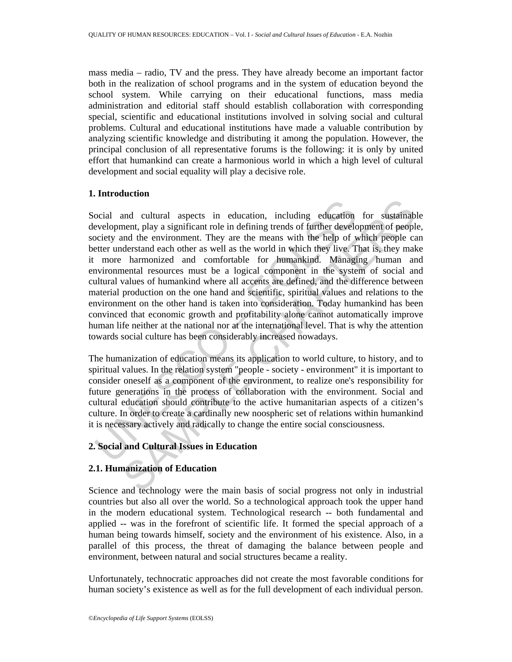mass media – radio, TV and the press. They have already become an important factor both in the realization of school programs and in the system of education beyond the school system. While carrying on their educational functions, mass media administration and editorial staff should establish collaboration with corresponding special, scientific and educational institutions involved in solving social and cultural problems. Cultural and educational institutions have made a valuable contribution by analyzing scientific knowledge and distributing it among the population. However, the principal conclusion of all representative forums is the following: it is only by united effort that humankind can create a harmonious world in which a high level of cultural development and social equality will play a decisive role.

## **1. Introduction**

ocial and cultural aspects in education, including education<br>evelopment, play a significant role in defining trends of further develociety and the environment. They are the means with the help of y<br>etter understand each ot and cultural aspects in education, including education for sustainable ment, play a significant role in defining trends of further development of people coderstand each other as well as the world in which they live. That i Social and cultural aspects in education, including education for sustainable development, play a significant role in defining trends of further development of people, society and the environment. They are the means with the help of which people can better understand each other as well as the world in which they live. That is, they make it more harmonized and comfortable for humankind. Managing human and environmental resources must be a logical component in the system of social and cultural values of humankind where all accents are defined, and the difference between material production on the one hand and scientific, spiritual values and relations to the environment on the other hand is taken into consideration. Today humankind has been convinced that economic growth and profitability alone cannot automatically improve human life neither at the national nor at the international level. That is why the attention towards social culture has been considerably increased nowadays.

The humanization of education means its application to world culture, to history, and to spiritual values. In the relation system "people - society - environment" it is important to consider oneself as a component of the environment, to realize one's responsibility for future generations in the process of collaboration with the environment. Social and cultural education should contribute to the active humanitarian aspects of a citizen's culture. In order to create a cardinally new noospheric set of relations within humankind it is necessary actively and radically to change the entire social consciousness.

# **2. Social and Cultural Issues in Education**

# **2.1. Humanization of Education**

Science and technology were the main basis of social progress not only in industrial countries but also all over the world. So a technological approach took the upper hand in the modern educational system. Technological research -- both fundamental and applied -- was in the forefront of scientific life. It formed the special approach of a human being towards himself, society and the environment of his existence. Also, in a parallel of this process, the threat of damaging the balance between people and environment, between natural and social structures became a reality.

Unfortunately, technocratic approaches did not create the most favorable conditions for human society's existence as well as for the full development of each individual person.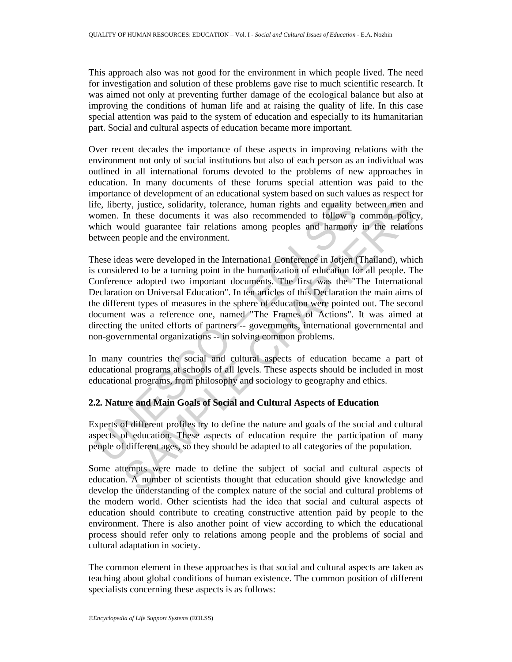This approach also was not good for the environment in which people lived. The need for investigation and solution of these problems gave rise to much scientific research. It was aimed not only at preventing further damage of the ecological balance but also at improving the conditions of human life and at raising the quality of life. In this case special attention was paid to the system of education and especially to its humanitarian part. Social and cultural aspects of education became more important.

Over recent decades the importance of these aspects in improving relations with the environment not only of social institutions but also of each person as an individual was outlined in all international forums devoted to the problems of new approaches in education. In many documents of these forums special attention was paid to the importance of development of an educational system based on such values as respect for life, liberty, justice, solidarity, tolerance, human rights and equality between men and women. In these documents it was also recommended to follow a common policy, which would guarantee fair relations among peoples and harmony in the relations between people and the environment.

fe, liberty, justice, solidarity, tolerance, human rights and equality bomen. In these documents it was also recommended to follow a hich would guarantee fair relations among peoples and harmony etween people and the envir rty, justice, solidarity, tolerance, human rights and equality between men an<br>In these documents it was also recommended to follow a common policy<br>ould guarantee fair relations among peoples and harmony in the relation<br>peo These ideas were developed in the Internationa1 Conference in Jotjen (Thailand), which is considered to be a turning point in the humanization of education for all people. The Conference adopted two important documents. The first was the "The International Declaration on Universal Education". In ten articles of this Declaration the main aims of the different types of measures in the sphere of education were pointed out. The second document was a reference one, named "The Frames of Actions". It was aimed at directing the united efforts of partners -- governments, international governmental and non-governmental organizations -- in solving common problems.

In many countries the social and cultural aspects of education became a part of educational programs at schools of all levels. These aspects should be included in most educational programs, from philosophy and sociology to geography and ethics.

## **2.2***.* **Nature and Main Goals of Social and Cultural Aspects of Education**

Experts of different profiles try to define the nature and goals of the social and cultural aspects of education. These aspects of education require the participation of many people of different ages, so they should be adapted to all categories of the population.

Some attempts were made to define the subject of social and cultural aspects of education. A number of scientists thought that education should give knowledge and develop the understanding of the complex nature of the social and cultural problems of the modern world. Other scientists had the idea that social and cultural aspects of education should contribute to creating constructive attention paid by people to the environment. There is also another point of view according to which the educational process should refer only to relations among people and the problems of social and cultural adaptation in society.

The common element in these approaches is that social and cultural aspects are taken as teaching about global conditions of human existence. The common position of different specialists concerning these aspects is as follows: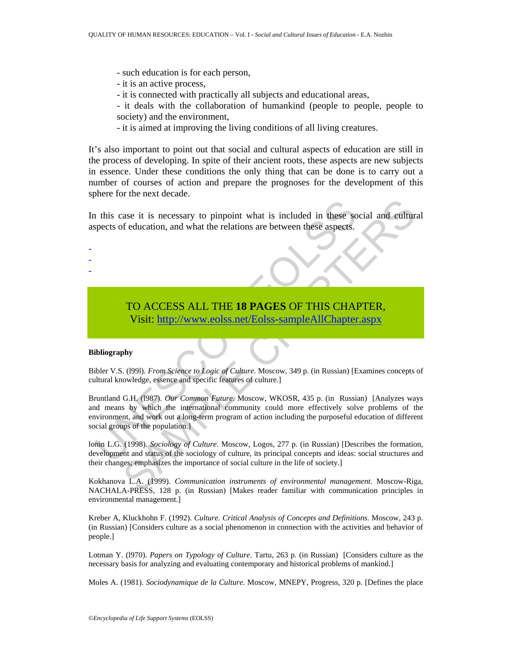- such education is for each person,
- it is an active process,
- it is connected with practically all subjects and educational areas,
- it deals with the collaboration of humankind (people to people, people to society) and the environment,
- it is aimed at improving the living conditions of all living creatures.

It's also important to point out that social and cultural aspects of education are still in the process of developing. In spite of their ancient roots, these aspects are new subjects in essence. Under these conditions the only thing that can be done is to carry out a number of courses of action and prepare the prognoses for the development of this sphere for the next decade.

In this case it is necessary to pinpoint what is included in these social and cultural aspects of education, and what the relations are between these aspects.

# TO ACCESS ALL THE **18 PAGES** OF THIS CHAPTER, Visit: http://www.eolss.net/Eolss-sampleAllChapter.aspx

#### **Bibliography**

- - -

Bibler V.S. (l99l). *From Science to Logic of Culture*. Moscow, 349 p. (in Russian) [Examines concepts of cultural knowledge, essence and specific features of culture.]

1 this case it is necessary to pinpoint what is included in these so<br>spects of education, and what the relations are between these aspects.<br>
TO ACCESS ALL THE 18 PAGES OF THIS CHAI<br>
Visit: http://www.eolss.net/Eolss-sample ase it is necessary to pinpoint what is included in these social and etilture<br>
feducation, and what the relations are between these aspects.<br>
TO ACCESS ALL THE 18 PAGES OF THIS [CHA](https://www.eolss.net/ebooklib/sc_cart.aspx?File=E1-12-01-05)PTER,<br>
Visit: http://www.colss.net/Eolss-s Bruntland G.H. (l987). *Our Common Future*. Moscow, WKOSR, 435 p. (in Russian) [Analyzes ways and means by which the international community could more effectively solve problems of the environment, and work out a long-term program of action including the purposeful education of different social groups of the population.]

lonin L.G. (1998). *Sociology of Culture*. Moscow, Logos, 277 p. (in Russian) [Describes the formation, development and status of the sociology of culture, its principal concepts and ideas: social structures and their changes; emphasizes the importance of social culture in the life of society.]

Kokhanova L.A. (1999). *Communication instruments of environmental management*. Moscow-Riga, NACHALA-PRESS, 128 p. (in Russian) [Makes reader familiar with communication principles in environmental management.]

Kreber A, Kluckhohn F. (1992). *Culture. Critical Analysis of Concepts and Definitions*. Moscow, 243 p. (in Russian) [Considers culture as a social phenomenon in connection with the activities and behavior of people.]

Lotman Y. (l970). *Papers on Typology of Culture*. Tartu, 263 p. (in Russian) [Considers culture as the necessary basis for analyzing and evaluating contemporary and historical problems of mankind.]

Moles A. (1981). *Sociodynamique de la Culture*. Moscow, MNEPY, Progress, 320 p. [Defines the place